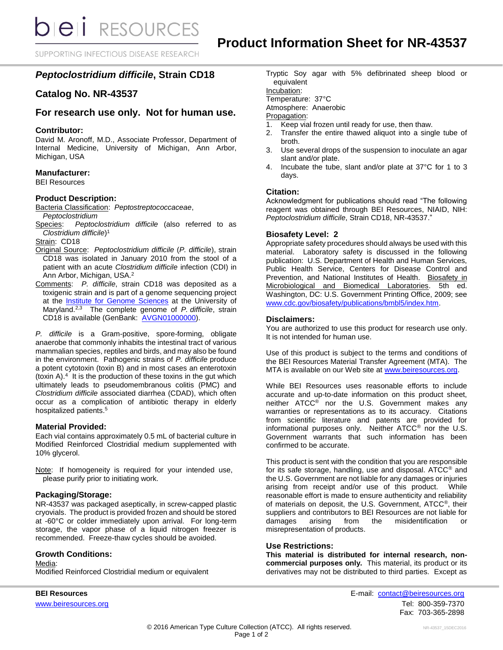**bieli** RESOURCES

SUPPORTING INFECTIOUS DISEASE RESEARCH

# *Peptoclostridium difficile***, Strain CD18**

# **Catalog No. NR-43537**

# **For research use only. Not for human use.**

#### **Contributor:**

David M. Aronoff, M.D., Associate Professor, Department of Internal Medicine, University of Michigan, Ann Arbor, Michigan, USA

## **Manufacturer:**

BEI Resources

## **Product Description:**

Bacteria Classification: *Peptostreptococcaceae*, *Peptoclostridium*

Species: *Peptoclostridium difficile* (also referred to as *Clostridium difficile*) 1

Strain: CD18

- Original Source: *Peptoclostridium difficile* (*P. difficile*), strain CD18 was isolated in January 2010 from the stool of a patient with an acute *Clostridium difficile* infection (CDI) in Ann Arbor, Michigan, USA.<sup>2</sup>
- Comments: *P. difficile*, strain CD18 was deposited as a toxigenic strain and is part of a genome sequencing project at the [Institute for Genome Sciences](http://www.igs.umaryland.edu/) at the University of Maryland.2,3 The complete genome of *P. difficile*, strain CD18 is available (GenBank: [AVGN01000000\)](https://www.ncbi.nlm.nih.gov/nuccore/AVGN01000000).

*P. difficile* is a Gram-positive, spore-forming, obligate anaerobe that commonly inhabits the intestinal tract of various mammalian species, reptiles and birds, and may also be found in the environment. Pathogenic strains of *P. difficile* produce a potent cytotoxin (toxin B) and in most cases an enterotoxin (toxin A).<sup>4</sup> It is the production of these toxins in the gut which ultimately leads to pseudomembranous colitis (PMC) and *Clostridium difficile* associated diarrhea (CDAD), which often occur as a complication of antibiotic therapy in elderly hospitalized patients.<sup>5</sup>

# **Material Provided:**

Each vial contains approximately 0.5 mL of bacterial culture in Modified Reinforced Clostridial medium supplemented with 10% glycerol.

Note: If homogeneity is required for your intended use, please purify prior to initiating work.

# **Packaging/Storage:**

NR-43537 was packaged aseptically, in screw-capped plastic cryovials. The product is provided frozen and should be stored at -60°C or colder immediately upon arrival. For long-term storage, the vapor phase of a liquid nitrogen freezer is recommended. Freeze-thaw cycles should be avoided.

# **Growth Conditions:**

Media:

Modified Reinforced Clostridial medium or equivalent

Tryptic Soy agar with 5% defibrinated sheep blood or equivalent

Incubation:

Temperature: 37°C

Atmosphere: Anaerobic

Propagation:

- 1. Keep vial frozen until ready for use, then thaw.
- 2. Transfer the entire thawed aliquot into a single tube of broth.
- 3. Use several drops of the suspension to inoculate an agar slant and/or plate.
- 4. Incubate the tube, slant and/or plate at 37°C for 1 to 3 days.

## **Citation:**

Acknowledgment for publications should read "The following reagent was obtained through BEI Resources, NIAID, NIH: *Peptoclostridium difficile*, Strain CD18, NR-43537."

## **Biosafety Level: 2**

Appropriate safety procedures should always be used with this material. Laboratory safety is discussed in the following publication: U.S. Department of Health and Human Services, Public Health Service, Centers for Disease Control and Prevention, and National Institutes of Health. Biosafety in Microbiological and Biomedical Laboratories. 5th ed. Washington, DC: U.S. Government Printing Office, 2009; see [www.cdc.gov/biosafety/publications/bmbl5/index.htm.](http://www.cdc.gov/biosafety/publications/bmbl5/index.htm)

## **Disclaimers:**

You are authorized to use this product for research use only. It is not intended for human use.

Use of this product is subject to the terms and conditions of the BEI Resources Material Transfer Agreement (MTA). The MTA is available on our Web site at [www.beiresources.org.](http://www.beiresources.org/)

While BEI Resources uses reasonable efforts to include accurate and up-to-date information on this product sheet, neither ATCC® nor the U.S. Government makes any warranties or representations as to its accuracy. Citations from scientific literature and patents are provided for informational purposes only. Neither ATCC® nor the U.S. Government warrants that such information has been confirmed to be accurate.

This product is sent with the condition that you are responsible for its safe storage, handling, use and disposal. ATCC® and the U.S. Government are not liable for any damages or injuries arising from receipt and/or use of this product. While reasonable effort is made to ensure authenticity and reliability of materials on deposit, the U.S. Government, ATCC®, their suppliers and contributors to BEI Resources are not liable for damages arising from the misidentification or misrepresentation of products.

#### **Use Restrictions:**

**This material is distributed for internal research, noncommercial purposes only.** This material, its product or its derivatives may not be distributed to third parties. Except as